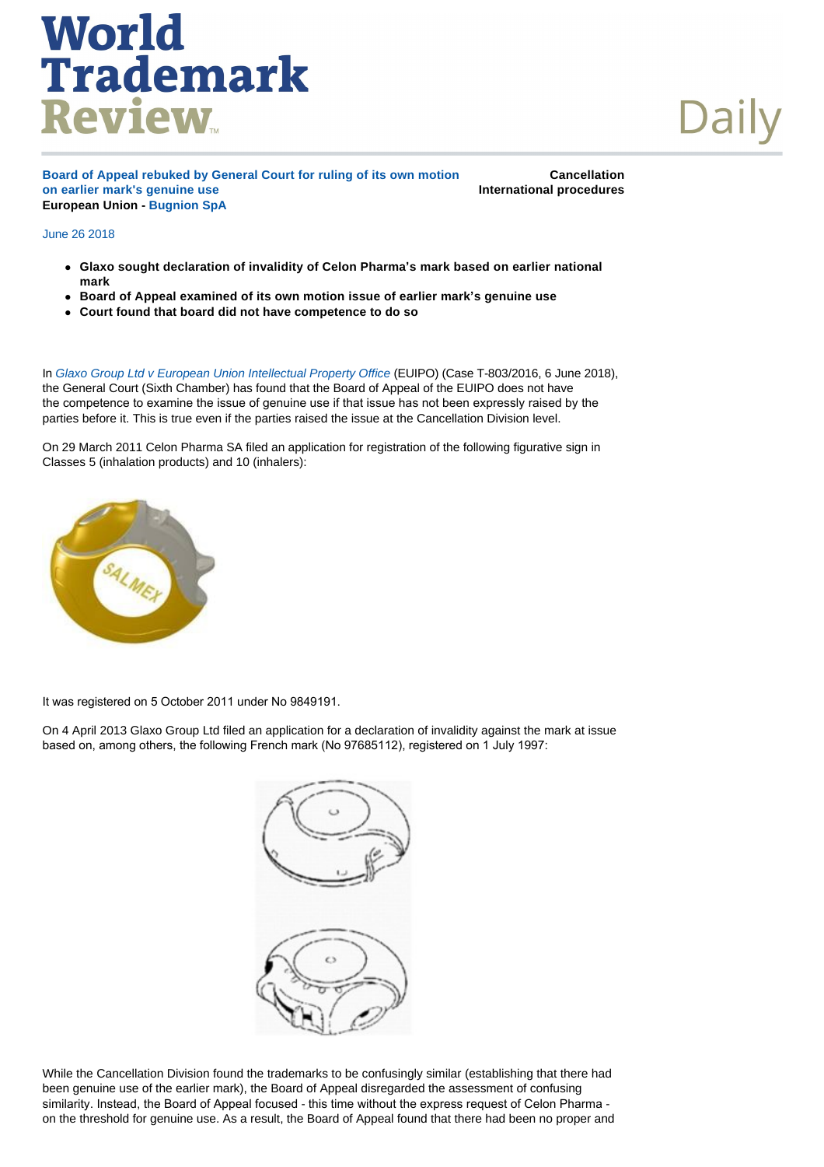## **World<br>Trademark Review**

**Board of Appeal rebuked by General Court for ruling of its own motion on earlier mark's genuine use European Union - [Bugnion SpA](http://www.worldtrademarkreview.com/daily/Contributors.aspx#Italy)** 

**Cancellation International procedures**

## June 26 2018

- <sup>l</sup> **Glaxo sought declaration of invalidity of Celon Pharma's mark based on earlier national mark**
- <sup>l</sup> **Board of Appeal examined of its own motion issue of earlier mark's genuine use**
- <sup>l</sup> **Court found that board did not have competence to do so**

In *[Glaxo Group Ltd v European Union Intellectual Property Office](http://curia.europa.eu/juris/document/document.jsf?text=&docid=202607&pageIndex=0&doclang=en&mode=lst&dir=&occ=first&part=1&cid=863523)* (EUIPO) (Case T-803/2016, 6 June 2018), the General Court (Sixth Chamber) has found that the Board of Appeal of the EUIPO does not have the competence to examine the issue of genuine use if that issue has not been expressly raised by the parties before it. This is true even if the parties raised the issue at the Cancellation Division level.

On 29 March 2011 Celon Pharma SA filed an application for registration of the following figurative sign in Classes 5 (inhalation products) and 10 (inhalers):



It was registered on 5 October 2011 under No 9849191.

On 4 April 2013 Glaxo Group Ltd filed an application for a declaration of invalidity against the mark at issue based on, among others, the following French mark (No 97685112), registered on 1 July 1997:



While the Cancellation Division found the trademarks to be confusingly similar (establishing that there had been genuine use of the earlier mark), the Board of Appeal disregarded the assessment of confusing similarity. Instead, the Board of Appeal focused - this time without the express request of Celon Pharma on the threshold for genuine use. As a result, the Board of Appeal found that there had been no proper and